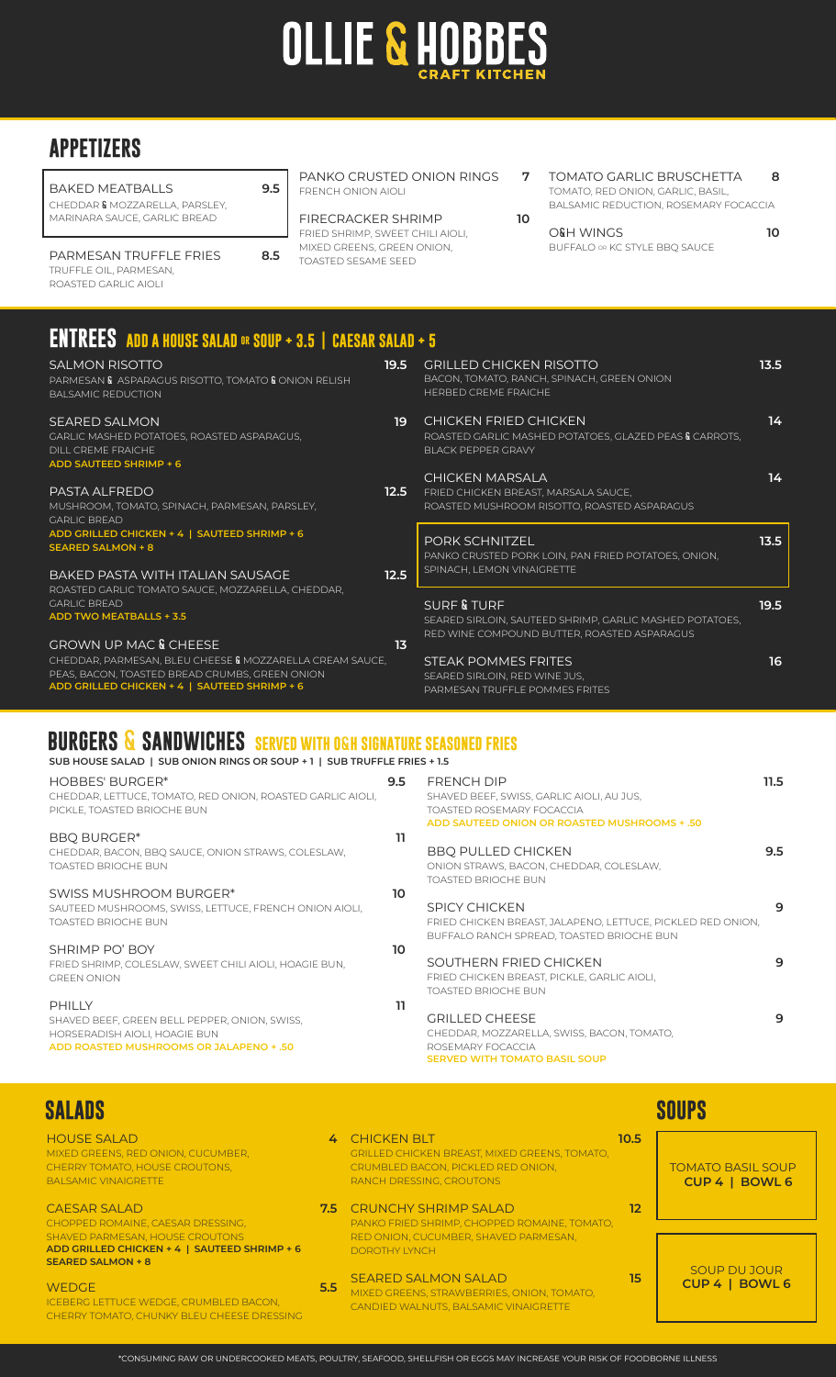# OLLIE & HOBBES

## **APPETIZERS**

| BAKED MEATBALLS                | 9.5 |
|--------------------------------|-----|
| CHEDDAR & MOZZARELLA, PARSLEY, |     |
| MARINARA SAUCE, GARLIC BREAD   |     |
|                                |     |
|                                |     |

PARMESAN TRUFFLE FRIES **8.5** TRUFFLE OIL, PARMESAN, ROASTED GARLIC AIOLI

| PANKO CRUSTED ONION RINGS | 7 |
|---------------------------|---|
| FRENCH ONION AIOLI        |   |

FIRECRACKER SHRIMP **10** FRIED SHRIMP, SWEET CHILI AIOLI, MIXED GREENS, GREEN ONION, TOASTED SESAME SEED

TOMATO GARLIC BRUSCHETTA **8** TOMATO, RED ONION, GARLIC, BASIL, BALSAMIC REDUCTION, ROSEMARY FOCACCIA

O&H WINGS **10** BUFFALO OR KC STYLE BBQ SAUCE

 $UP$ 

**SOUPS**

#### **ENTREES ADD A HOUSE SALAD OR SOUP + 3.5 | CAESAR SALAD + 5**

| <b>SALMON RISOTTO</b><br>PARMESAN & ASPARAGUS RISOTTO, TOMATO & ONION RELISH<br><b>BALSAMIC REDUCTION</b>          | $19.5-$ | <b>GRILLED CHICKEN RISOTTO</b><br>BACON, TOMATO, RANCH, SPINACH, GREEN ONION<br>HERBED CREME FRAICHE                | 13.5              |
|--------------------------------------------------------------------------------------------------------------------|---------|---------------------------------------------------------------------------------------------------------------------|-------------------|
| <b>SEARED SALMON</b><br>GARLIC MASHED POTATOES, ROASTED ASPARAGUS,<br>DILL CREME FRAICHE<br>ADD SAUTEED SHRIMP + 6 | 19      | <b>CHICKEN FRIED CHICKEN</b><br>ROASTED GARLIC MASHED POTATOES, GLAZED PEAS & CARROTS,<br><b>BLACK PEPPER GRAVY</b> | 14                |
| PASTA ALFREDO<br>MUSHROOM, TOMATO, SPINACH, PARMESAN, PARSLEY,<br><b>GARLIC BREAD</b>                              | 12.5    | <b>CHICKEN MARSALA</b><br>FRIED CHICKEN BREAST, MARSALA SAUCE,<br>ROASTED MUSHROOM RISOTTO, ROASTED ASPARAGUS       | 14                |
|                                                                                                                    |         |                                                                                                                     |                   |
| ADD GRILLED CHICKEN + 4   SAUTEED SHRIMP + 6<br><b>SEARED SALMON + 8</b>                                           |         | <b>PORK SCHNITZEL</b><br>PANKO CRUSTED PORK LOIN, PAN FRIED POTATOES, ONION,                                        | 13.5 <sub>1</sub> |
| BAKED PASTA WITH ITALIAN SAUSAGE                                                                                   | 12.5    | SPINACH, LEMON VINAIGRETTE                                                                                          |                   |
| ROASTED GARLIC TOMATO SAUCE, MOZZARELLA, CHEDDAR,<br><b>GARLIC BREAD</b><br>ADD TWO MEATBALLS + 3.5                |         | <b>SURF &amp; TURF</b><br>SEARED SIRLOIN, SAUTEED SHRIMP, GARLIC MASHED POTATOES,                                   | 19.5              |
| <b>GROWN UP MAC &amp; CHEESE</b>                                                                                   | 13      | RED WINE COMPOUND BUTTER, ROASTED ASPARAGUS                                                                         |                   |

## **BURGERS SANDWICHES SERVED WITH O**&**H SIGNATURE SEASONED FRIES**

| SUB HOUSE SALAD   SUB ONION RINGS OR SOUP + 1   SUB TRUFFLE FRIES + 1.5                                                             |     |                                                                                                                                             |      |
|-------------------------------------------------------------------------------------------------------------------------------------|-----|---------------------------------------------------------------------------------------------------------------------------------------------|------|
| <b>HOBBES' BURGER*</b><br>CHEDDAR, LETTUCE, TOMATO, RED ONION, ROASTED GARLIC AIOLI,<br>PICKLE, TOASTED BRIOCHE BUN                 | 9.5 | <b>FRENCH DIP</b><br>SHAVED BEEF, SWISS, GARLIC AIOLI, AU JUS,<br>TOASTED ROSEMARY FOCACCIA<br>ADD SAUTEED ONION OR ROASTED MUSHROOMS + .50 | 11.5 |
| <b>BBO BURGER*</b><br>CHEDDAR, BACON, BBQ SAUCE, ONION STRAWS, COLESLAW,<br><b>TOASTED BRIOCHE BUN</b>                              | 11  | <b>BBO PULLED CHICKEN</b><br>ONION STRAWS, BACON, CHEDDAR, COLESLAW,<br><b>TOASTED BRIOCHE BUN</b>                                          | 9.5  |
| SWISS MUSHROOM BURGER*<br>SAUTEED MUSHROOMS, SWISS, LETTUCE, FRENCH ONION AIOLI,<br><b>TOASTED BRIOCHE BUN</b>                      | 10  | <b>SPICY CHICKEN</b><br>FRIED CHICKEN BREAST, JALAPENO, LETTUCE, PICKLED RED ONION,<br>BUFFALO RANCH SPREAD, TOASTED BRIOCHE BUN            | 9    |
| SHRIMP PO' BOY<br>FRIED SHRIMP, COLESLAW, SWEET CHILI AIOLI, HOAGIE BUN,<br><b>GREEN ONION</b>                                      | 10  | SOUTHERN FRIED CHICKEN<br>FRIED CHICKEN BREAST, PICKLE, GARLIC AIOLI,<br><b>TOASTED BRIOCHE BUN</b>                                         | 9    |
| PHILLY<br>SHAVED BEEF, GREEN BELL PEPPER, ONION, SWISS,<br>HORSERADISH AIOLI, HOAGIE BUN<br>ADD ROASTED MUSHROOMS OR JALAPENO + .50 | 11  | <b>GRILLED CHEESE</b><br>CHEDDAR, MOZZARELLA, SWISS, BACON, TOMATO,<br>ROSEMARY FOCACCIA<br><b>SERVED WITH TOMATO BASIL SOUP</b>            | 9    |

# **SALADS**

 $BAL$ 

**SEA** 

| URLADU                                                                                                                           |     |                                                                                                                                         |      | uuul u                                     |
|----------------------------------------------------------------------------------------------------------------------------------|-----|-----------------------------------------------------------------------------------------------------------------------------------------|------|--------------------------------------------|
| <b>HOUSE SALAD</b><br>MIXED GREENS, RED ONION, CUCUMBER,<br><b>CHERRY TOMATO, HOUSE CROUTONS,</b><br><b>BALSAMIC VINAIGRETTE</b> |     | <b>4 CHICKEN BLT</b><br>GRILLED CHICKEN BREAST, MIXED GREENS, TOMATO,<br>CRUMBLED BACON, PICKLED RED ONION,<br>RANCH DRESSING, CROUTONS | 10.5 | <b>TOMATO BASIL SOUP</b><br>CUP 4   BOWL 6 |
| CAESAR SALAD<br>CHOPPED ROMAINE, CAESAR DRESSING,                                                                                |     | <b>7.5</b> CRUNCHY SHRIMP SALAD<br>PANKO FRIED SHRIMP, CHOPPED ROMAINE, TOMATO,                                                         | 12   |                                            |
| SHAVED PARMESAN, HOUSE CROUTONS<br>ADD GRILLED CHICKEN + 4   SAUTEED SHRIMP + 6<br><b>SEARED SALMON + 8</b>                      |     | RED ONION, CUCUMBER, SHAVED PARMESAN,<br>DOROTHY I YNCH                                                                                 |      |                                            |
| <b>WEDGE</b><br><b>ICEBERG LETTUCE WEDGE, CRUMBLED BACON,</b><br>CHERRY TOMATO, CHUNKY BLEU CHEESE DRESSING                      | 5.5 | <b>SEARED SALMON SALAD</b><br>MIXED GREENS, STRAWBERRIES, ONION, TOMATO.<br>CANDIED WALNUTS, BALSAMIC VINAIGRETTE                       | 15   | <b>SOUP DU JOUR</b><br>CUP 4   BOWL 6      |